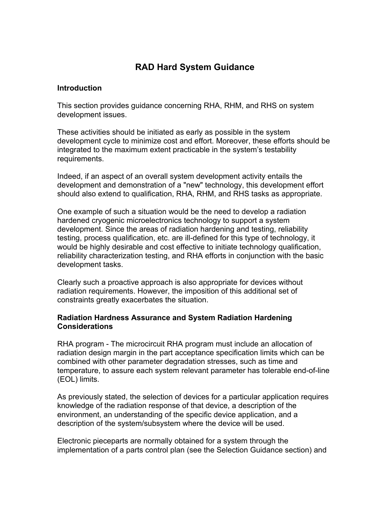## **RAD Hard System Guidance**

## **Introduction**

This section provides guidance concerning RHA, RHM, and RHS on system development issues.

These activities should be initiated as early as possible in the system development cycle to minimize cost and effort. Moreover, these efforts should be integrated to the maximum extent practicable in the system's testability requirements.

Indeed, if an aspect of an overall system development activity entails the development and demonstration of a "new" technology, this development effort should also extend to qualification, RHA, RHM, and RHS tasks as appropriate.

One example of such a situation would be the need to develop a radiation hardened cryogenic microelectronics technology to support a system development. Since the areas of radiation hardening and testing, reliability testing, process qualification, etc. are ill-defined for this type of technology, it would be highly desirable and cost effective to initiate technology qualification, reliability characterization testing, and RHA efforts in conjunction with the basic development tasks.

Clearly such a proactive approach is also appropriate for devices without radiation requirements. However, the imposition of this additional set of constraints greatly exacerbates the situation.

## **Radiation Hardness Assurance and System Radiation Hardening Considerations**

RHA program - The microcircuit RHA program must include an allocation of radiation design margin in the part acceptance specification limits which can be combined with other parameter degradation stresses, such as time and temperature, to assure each system relevant parameter has tolerable end-of-line (EOL) limits.

As previously stated, the selection of devices for a particular application requires knowledge of the radiation response of that device, a description of the environment, an understanding of the specific device application, and a description of the system/subsystem where the device will be used.

Electronic pieceparts are normally obtained for a system through the implementation of a parts control plan (see the Selection Guidance section) and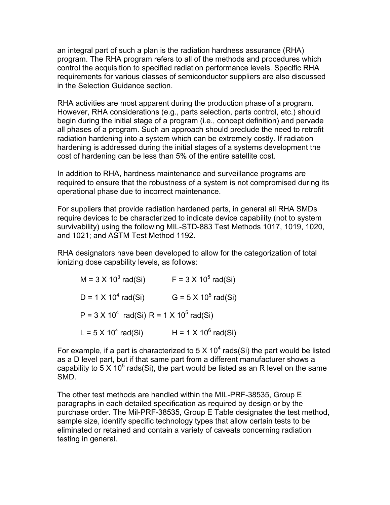an integral part of such a plan is the radiation hardness assurance (RHA) program. The RHA program refers to all of the methods and procedures which control the acquisition to specified radiation performance levels. Specific RHA requirements for various classes of semiconductor suppliers are also discussed in the Selection Guidance section.

RHA activities are most apparent during the production phase of a program. However, RHA considerations (e.g., parts selection, parts control, etc.) should begin during the initial stage of a program (i.e., concept definition) and pervade all phases of a program. Such an approach should preclude the need to retrofit radiation hardening into a system which can be extremely costly. If radiation hardening is addressed during the initial stages of a systems development the cost of hardening can be less than 5% of the entire satellite cost.

In addition to RHA, hardness maintenance and surveillance programs are required to ensure that the robustness of a system is not compromised during its operational phase due to incorrect maintenance.

For suppliers that provide radiation hardened parts, in general all RHA SMDs require devices to be characterized to indicate device capability (not to system survivability) using the following MIL-STD-883 Test Methods 1017, 1019, 1020, and 1021; and ASTM Test Method 1192.

RHA designators have been developed to allow for the categorization of total ionizing dose capability levels, as follows:

| $M = 3 \times 10^3$ rad(Si)                                 | $F = 3 \times 10^5$ rad(Si) |
|-------------------------------------------------------------|-----------------------------|
| $D = 1 \times 10^4$ rad(Si)                                 | $G = 5 \times 10^5$ rad(Si) |
| $P = 3 \times 10^4$ rad(Si) R = 1 X 10 <sup>5</sup> rad(Si) |                             |
| L = $5 \times 10^4$ rad(Si)                                 | H = $1 \times 10^6$ rad(Si) |

For example, if a part is characterized to 5 X 10<sup>4</sup> rads(Si) the part would be listed as a D level part, but if that same part from a different manufacturer shows a capability to 5 X 10<sup>5</sup> rads(Si), the part would be listed as an R level on the same SMD.

The other test methods are handled within the MIL-PRF-38535, Group E paragraphs in each detailed specification as required by design or by the purchase order. The Mil-PRF-38535, Group E Table designates the test method, sample size, identify specific technology types that allow certain tests to be eliminated or retained and contain a variety of caveats concerning radiation testing in general.